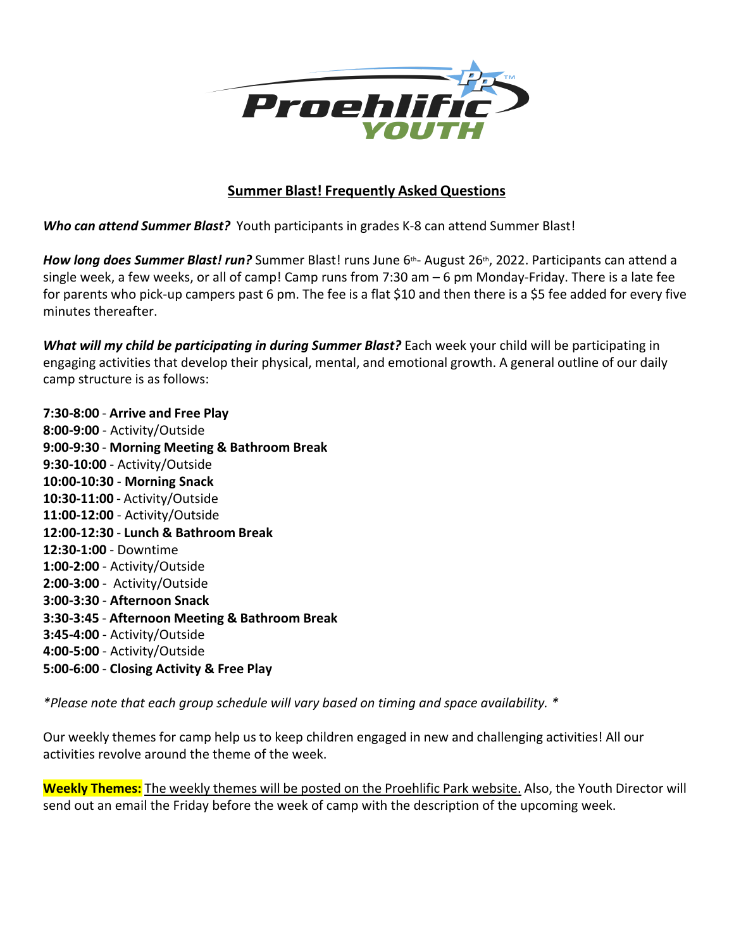

## **Summer Blast! Frequently Asked Questions**

*Who can attend Summer Blast?* Youth participants in grades K-8 can attend Summer Blast!

*How long does Summer Blast! run?* Summer Blast! runs June 6<sup>th</sup>- August 26<sup>th</sup>, 2022. Participants can attend a single week, a few weeks, or all of camp! Camp runs from 7:30 am – 6 pm Monday-Friday. There is a late fee for parents who pick-up campers past 6 pm. The fee is a flat \$10 and then there is a \$5 fee added for every five minutes thereafter.

*What will my child be participating in during Summer Blast?* Each week your child will be participating in engaging activities that develop their physical, mental, and emotional growth. A general outline of our daily camp structure is as follows:

**7:30-8:00** - **Arrive and Free Play 8:00-9:00** - Activity/Outside **9:00-9:30** - **Morning Meeting & Bathroom Break 9:30-10:00** - Activity/Outside **10:00-10:30** - **Morning Snack 10:30-11:00** - Activity/Outside **11:00-12:00** - Activity/Outside **12:00-12:30** - **Lunch & Bathroom Break 12:30-1:00** - Downtime **1:00-2:00** - Activity/Outside **2:00-3:00** - Activity/Outside **3:00-3:30** - **Afternoon Snack 3:30-3:45** - **Afternoon Meeting & Bathroom Break 3:45-4:00** - Activity/Outside **4:00-5:00** - Activity/Outside **5:00-6:00** - **Closing Activity & Free Play**

*\*Please note that each group schedule willvary based on timing and space availability. \**

Our weekly themes for camp help us to keep children engaged in new and challenging activities! All our activities revolve around the theme of the week.

**Weekly Themes:**The weekly themes will be posted on the Proehlific Park website. Also, the Youth Director will send out an email the Friday before the week of camp with the description of the upcoming week.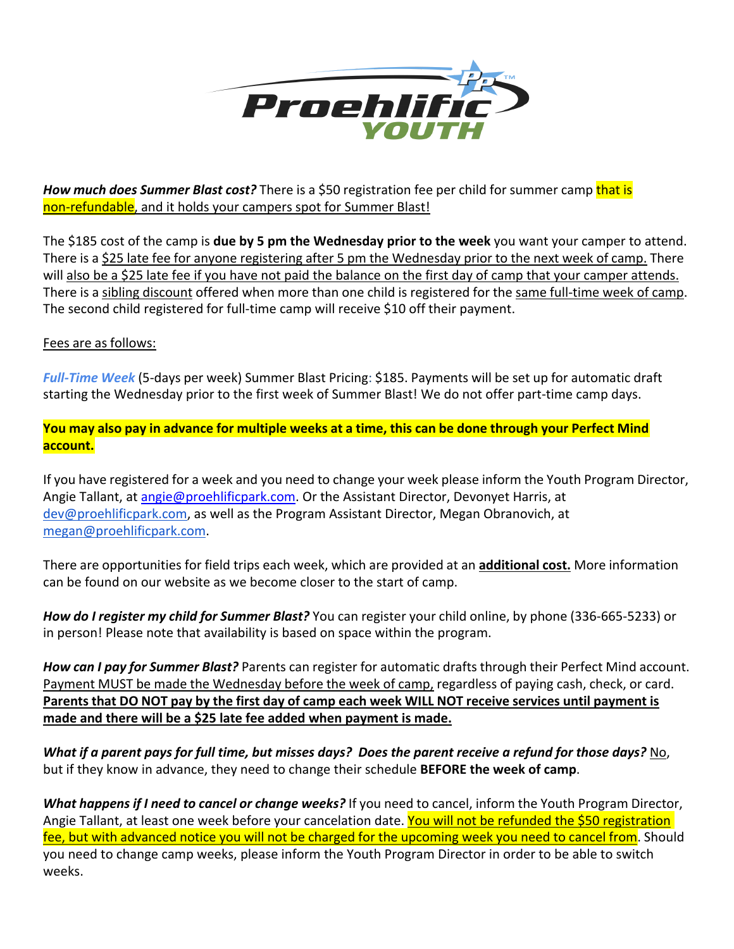

*How much does Summer Blast cost?* There is a \$50 registration fee per child for summer camp that is non-refundable, and it holds your campers spot for Summer Blast!

The \$185 cost of the camp is **due by 5 pm the Wednesday prior to the week** you want your camper to attend. There is a \$25 late fee for anyone registering after 5 pm the Wednesday prior to the next week of camp. There will also be a \$25 late fee if you have not paid the balance on the first day of camp that your camper attends. There is a sibling discount offered when more than one child is registered for the same full-time week of camp. The second child registered for full-time camp will receive \$10 off their payment.

## Fees are as follows:

*Full-Time Week* (5-days per week) Summer Blast Pricing: \$185. Payments will be set up for automatic draft starting the Wednesday prior to the first week of Summer Blast! We do not offer part-time camp days.

You may also pay in advance for multiple weeks at a time, this can be done through your Perfect Mind **account.**

If you have registered for a week and you need to change your week please inform the Youth Program Director, Angie Tallant, at [angie@proehlificpark.com.](mailto:angie@proehlificpark.com) Or the Assistant Director, Devonyet Harris, at [dev@proehlificpark.com](mailto:dev@proehlificpark.com), as well as the Program Assistant Director, Megan Obranovich, at [megan@proehlificpark.com.](mailto:megan@proehlificpark.com)

There are opportunities for field trips each week, which are provided at an **additional cost.** More information can be found on our website as we become closer to the start of camp.

*How do I register my child for Summer Blast?* You can register your child online, by phone (336-665-5233) or in person! Please note that availability is based on space within the program.

*How can I pay for Summer Blast?* Parents can registerfor automatic drafts through their Perfect Mind account. Payment MUST be made the Wednesday before the week of camp, regardless of paying cash, check, or card. Parents that DO NOT pay by the first day of camp each week WILL NOT receive services until payment is **made and there will be a \$25 late fee added when payment is made.**

What if a parent pays for full time, but misses days? Does the parent receive a refund for those days? No, but if they know in advance, they need to change their schedule **BEFORE the week ofcamp**.

*What happens if I need to cancel or change weeks?* If you need to cancel, inform the Youth Program Director, Angie Tallant, at least one week before your cancelation date. You will not be refunded the \$50 registration fee, but with advanced notice you will not be charged for the upcoming week you need to cancel from. Should you need to change camp weeks, please inform the Youth Program Director in order to be able to switch weeks.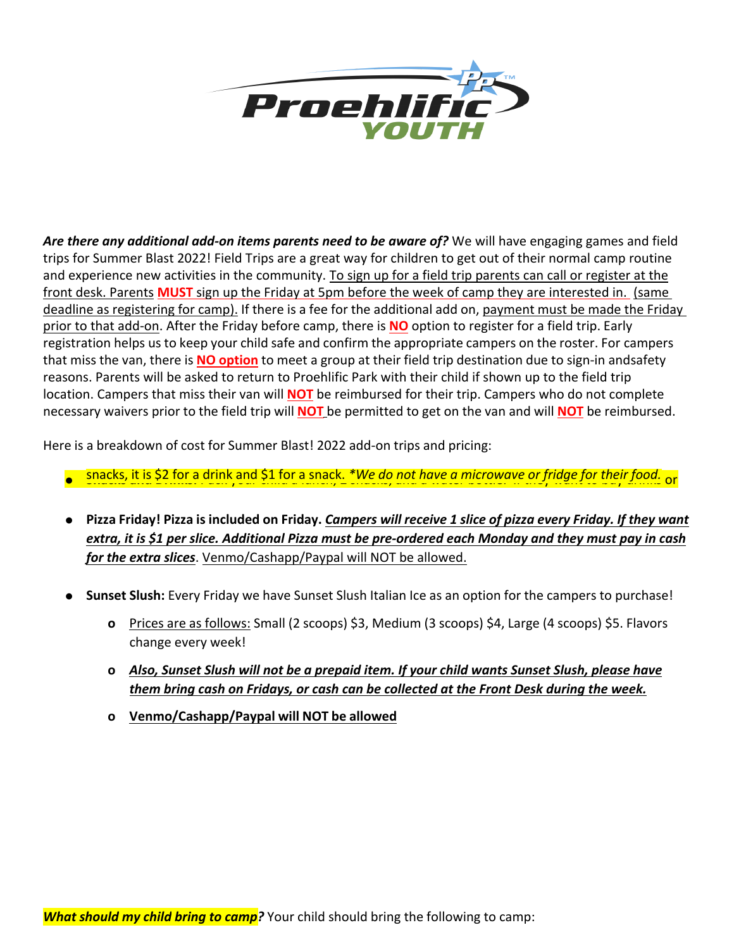

*Are there any additional add-on items parents need to be aware of?* We will have engaging games and field trips for Summer Blast 2022! Field Trips are a great way for children to get out of their normal camp routine and experience new activities in the community. To sign up for a field trip parents can call or register at the front desk. Parents **MUST** sign up the Friday at 5pm before the week of camp they are interested in. (same deadline as registering for camp). If there is a fee for the additional add on, payment must be made the Friday prior to that add-on. After the Friday before camp, there is **NO** option to register for a field trip. Early registration helps us to keep your child safe and confirm the appropriate campers on the roster. For campers that miss the van, there is **NO option** to meet a group at their field trip destination due to sign-in andsafety reasons. Parents will be asked to return to Proehlific Park with their child if shown up to the field trip location. Campers that miss their van will **NOT** be reimbursed for their trip. Campers who do not complete necessary waivers prior to the field trip will **NOT** be permitted to get on the van and will **NOT** be reimbursed.

Here is a breakdown of cost for Summer Blast! 2022 add-on trips and pricing:

- Snacks, it is \$2 for a drink and \$1 for a snack. \*We do not have a microwave or fridge for their food. or and the straight or their food. The same or straight for the straight or an analysis or an analysis or an analysi
- Pizza Friday! Pizza is included on Friday. Campers will receive 1 slice of pizza every Friday. If they want *extra, it is \$1 per slice. Additional Pizza must be pre-ordered each Monday and they must pay in cash for the extra slices*. Venmo/Cashapp/Paypal will NOT be allowed.
- **● Sunset Slush:** Every Friday we have Sunset Slush Italian Ice as an option for the campers to purchase!
	- **o** Prices are as follows: Small (2 scoops) \$3, Medium (3 scoops) \$4, Large (4 scoops) \$5.Flavors change every week!
	- **o** *Also, Sunset Slush will not be a prepaid item. If your child wants Sunset Slush, please have them bring cash on Fridays, or cash can be collected at the Front Desk during the week.*
	- **o Venmo/Cashapp/Paypal will NOT be allowed**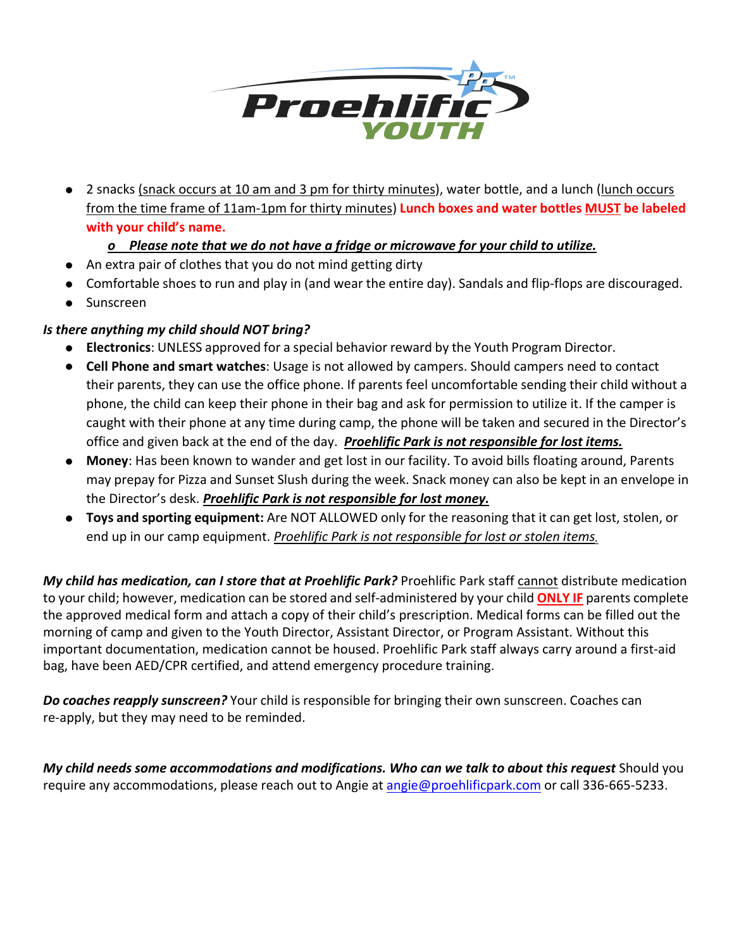

**●** 2 snacks (snack occurs at 10 am and 3 pm for thirty minutes), water bottle, and a lunch (lunch occurs from the time frame of11am-1pm for thirty minutes) **Lunch boxes and water bottles MUST be labeled with your child's name.**

## *o Please note that we do not have a fridge or microwave for your child to utilize.*

- **●** An extra pair of clothes that you do not mind getting dirty
- **●** Comfortable shoes to run and play in (and wear the entire day). Sandals and flip-flops are discouraged.
- **●** Sunscreen

## *Is there anything my child should NOT bring?*

- **Electronics**: UNLESS approved for a special behavior reward by the Youth Program Director.
- **Cell Phone and smart watches**: Usage is not allowed by campers. Should campers need to contact their parents, they can use the office phone. If parents feel uncomfortable sending their child without a phone, the child can keep their phone in their bag and ask for permission to utilize it. If the camper is caught with their phone at any time during camp, the phone will be taken and secured in the Director's office and given back at the end of the day. *Proehlific Park is notresponsible for lost items.*
- **Money**: Has been known to wander and get lost in our facility. To avoid bills floating around, Parents may prepay for Pizza and Sunset Slush during the week. Snack money can also be kept in an envelope in the Director's desk. *Proehlific Park is not responsible for lost money.*
- **Toys and sporting equipment:** Are NOT ALLOWED only for the reasoning that itcan get lost, stolen, or end up in our camp equipment. *Proehlific Park is not responsible for lost or stolen items.*

*My child has medication, can I store that at Proehlific Park?* Proehlific Park staff cannot distribute medication to your child; however, medication can be stored and self-administered by your child **ONLY IF** parents complete the approved medical form and attach a copy of their child's prescription. Medical forms can be filled out the morning of camp and given to the Youth Director, Assistant Director, or Program Assistant. Without this important documentation, medication cannot be housed. Proehlific Park staff always carry around a first-aid bag, have been AED/CPR certified, and attend emergency procedure training.

*Do coaches reapply sunscreen?* Your child is responsible for bringing their own sunscreen. Coaches can re-apply, but they may need to be reminded.

*My child needs some accommodations and modifications. Who can we talk to about this request* Should you require any accommodations, please reach out to Angie at [angie@proehlificpark.com](mailto:angie@proehlificpark.com) or call 336-665-5233.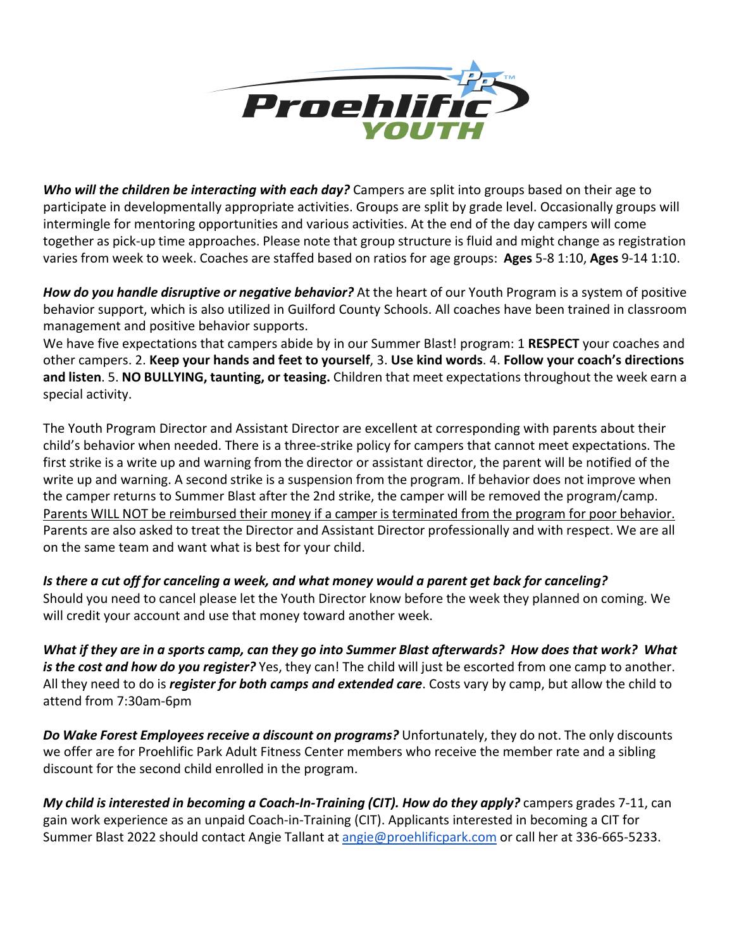

*Who will the children be interacting with each day?* Campers are split into groups based on their age to participate in developmentally appropriate activities. Groups are split by grade level. Occasionally groups will intermingle for mentoring opportunities and various activities. At the end of the day campers will come together as pick-up time approaches. Please note that group structure is fluid and might change as registration varies from week to week. Coaches are staffed based on ratios for age groups: **Ages** 5-8 1:10, **Ages** 9-14 1:10.

*How do you handle disruptive or negative behavior?* At the heart of our Youth Program is a system of positive behavior support, which is also utilized in Guilford County Schools. All coaches have been trained in classroom management and positive behavior supports.

We have five expectations that campers abide by in our Summer Blast! program: 1 **RESPECT** your coaches and other campers. 2. **Keep your hands and feet to yourself**, 3. **Use kind words**. 4. **Follow your coach's directions and listen**. 5. **NO BULLYING, taunting, or teasing.** Children that meet expectations throughout the week earn a special activity.

The Youth Program Director and Assistant Director are excellent at corresponding with parents about their child's behavior when needed. There is a three-strike policy for campers that cannot meet expectations. The first strike is a write up and warning from the director or assistant director, the parent will be notified of the write up and warning. A second strike is a suspension from the program. If behavior does not improve when the camper returns to Summer Blast after the 2nd strike, the camper will be removed the program/camp. Parents WILL NOT be reimbursed their money if a camper is terminated from the program for poor behavior. Parents are also asked to treat the Director and Assistant Director professionally and with respect. We are all on the same team and want what is best for your child.

Is there a cut off for canceling a week, and what money would a parent get back for canceling? Should you need to cancel please let the Youth Director know before the week they planned on coming. We will credit your account and use that money toward another week.

What if they are in a sports camp, can they go into Summer Blast afterwards? How does that work? What *is the cost and how do you register?* Yes, they can! The child will just be escorted from one camp to another. All they need to do is *register for both camps and extended care*. Costs vary by camp, but allow the child to attend from 7:30am-6pm

*Do Wake Forest Employees receive a discount on programs?* **Unfortunately, they do not. The only discounts** we offer are for Proehlific Park Adult Fitness Center members who receive the member rate and a sibling discount for the second child enrolled in the program.

*My child is interested in becoming a Coach-In-Training (CIT). How do they apply?* campers grades 7-11, can gain work experience as an unpaid Coach-in-Training (CIT). Applicants interested in becoming a CIT for Summer Blast 2022 should contact Angie Tallant at [angie@proehlificpark.com](mailto:angie@proehlificpark.com) or call her at 336-665-5233.